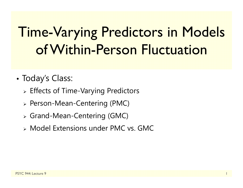# Time-Varying Predictors in Models of Within-Person Fluctuation

- • Today's Class:
	- Effects of Time-Varying Predictors
	- Person-Mean-Centering (PMC)
	- Grand-Mean-Centering (GMC)
	- Model Extensions under PMC vs. GMC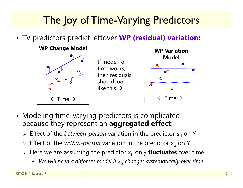## The Joy of Time-Varying Predictors

•TV predictors predict leftover **WP (residual) variation:**



- Modeling time-varying predictors is complicated because they represent an **aggregated effect**:
	- **Effect of the** *between-person* **variation in the predictor x<sub>ti</sub> on Y**
	- $\triangleright$  Effect of the *within-person* variation in the predictor  $\boldsymbol{\mathrm{x}}_{\text{ti}}$  on Y
	- » Here we are assuming the predictor  $\mathbf{x_{ti}}$  only **fluctuates** over time...
		- We will need a different model if  $x_{t i}$  changes systematically over time…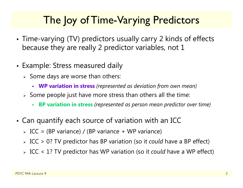## The loy of Time-Varying Predictors

- • Time-varying (TV) predictors usually carry 2 kinds of effects because they are really 2 predictor variables, not 1
- Example: Stress measured daily
	- $\triangleright$  Some days are worse than others:
		- **WP variation in stress** *(represented as deviation from own mean)*
	- $\triangleright$  Some people just have more stress than others all the time:
		- Г **BP variation in stress** *(represented as person mean predictor over time)*
- • Can quantify each source of variation with an ICC
	- ICC = (BP variance) / (BP variance + WP variance)
	- ICC > 0? TV predictor has BP variation (so it *could* have a BP effect)
	- ICC < 1? TV predictor has WP variation (so it *could* have a WP effect)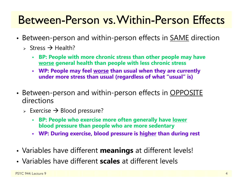## Between-Person vs. Within-Person Effects

- •• Between-person and within-person effects in <u>SAME</u> direction
	- > Stress  $\rightarrow$  Health?
		- **BP: People with more chronic stress than other people may have worse general health than people with less chronic stress**
		- **WP: People may feel worse than usual when they are currently under more stress than usual (regardless of what "usual" is)**
- •• Between-person and within-person effects in <u>OPPOSITE</u> directions
	- $\triangleright$  Exercise  $\rightarrow$  Blood pressure?
		- **BP: People who exercise more often generally have lower blood pressure than people who are more sedentary**
		- **WP: During exercise, blood pressure is higher than during rest**
- •Variables have different **meanings** at different levels!
- Variables have different **scales** at different levels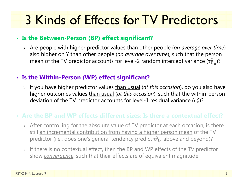# 3 Kinds of Effects for TV Predictors

#### • **Is the Between-Person (BP) effect significant?**

 Are people with higher predictor values than other people (*on average over time*) also higher on Y than other people (*on average over time*), such that the person mean of the TV predictor accounts for level-2 random intercept variance (τ $_{\rm U}^2$  $^{2}_{\rm U_{0}}$ )?

#### • **Is the Within-Person (WP) effect significant?**

 If you have higher predictor values than usual (*at this occasion*), do you also have higher outcomes values than usual (*at this occasion*), such that the within-person deviation of the TV predictor accounts for level-1 residual variance ( $\sigma_{\rm e}^2$ )?

### • **Are the BP and WP effects different sizes: Is there a contextual effect?**

- $\triangleright$  After controlling for the absolute value of TV predictor at each occasion, is there still an incremental contribution from having a higher person mean of the TV predictor (i.e., does one's general tendency predict  $\tau_\mathrm{U}^2$  $^2_{\rm U_0}$  above and beyond)?
- $\triangleright$  If there is no contextual effect, then the BP and WP effects of the TV predictor show *convergence*, such that their effects are of equivalent magnitude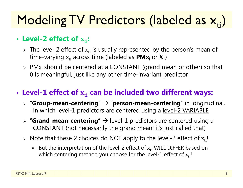# Modeling TV Predictors (labeled as  $\mathsf{x}_{\mathsf{ti}}$ )

### • Level-2 effect of  $\boldsymbol{\mathrm{x_{ti}}}$ :

- $\triangleright$  The level-2 effect of  $\mathrm{x_{ti}}$  is usually represented by the person's mean of time-varying  $\boldsymbol{\mathrm{x}}_\text{ti}$  across time (labeled as  $\boldsymbol{\mathsf{PMx}_\text{i}}$  or  $\boldsymbol{\overline{\mathrm{X}}}_\text{i})$
- > PMx<sub>i</sub> should be centered at a <u>CONSTANT</u> (grand mean or other) so that 0 is meaningful, just like any other time-invariant predictor

### • Level-1 effect of  $\mathbf{x}_{\text{ti}}$  can be included two different ways:

- **▷ "Group-mean-centering" → "<u>person-mean-centering</u>" in longitudinal,** in which level-1 predictors are centered using a level-2 VARIABLE
- **▷ "Grand-mean-centering**" → level-1 predictors are centered using a CONSTANT (not necessarily the grand mean; it's just called that)
- $\triangleright$  Note that these 2 choices do NOT apply to the level-2 effect of  $\boldsymbol{\mathrm{x}}_\text{ti}!$ 
	- **But the interpretation of the level-2 effect of**  $x_{ti}$  **WILL DIFFER based on** which centering method you choose for the level-1 effect of  $\rm x_{ti}$ !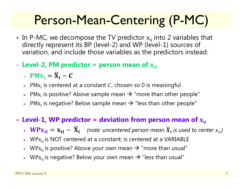# Person-Mean-Centering (P-MC)

- In P-MC, we decompose the TV predictor  $x_{ti}$  into 2 variables that directly represent its BP (level-2) and WP (level-1) sources of variation, and include those variables as the predictors instead:
- Level-2, PM predictor = person mean of  $\mathbf{x}_{\text{ti}}$ 
	- >  $PMx_i = \overline{X}_i C$
	- $\triangleright$  PM $\mathrm{x_i}$  is centered at a constant  $\mathcal C$ , chosen so 0 is meaningful
	- $\triangleright$  PM $\mathrm{x_i}$  is positive? Above sample mean  $\rightarrow$  "more than other people"
	- $\triangleright$  PM $\mathrm{x_i}$  is negative? Below sample mean  $\rightarrow$  "less than other people"
- Level-1, WP predictor = deviation from person mean of  $\boldsymbol{\mathrm{x}}_\text{ti}$ 
	- $\triangleright \ \mathbf{W} \mathbf{P} \mathbf{x_{ti}} = \mathbf{x_{ti}} \overline{\mathbf{X}}_i$  (note: uncentered person mean  $\overline{X}_i$  is used to center  $x_{ti}$ )
	- $\triangleright$  WP $\rm x_{ti}$  is NOT centered at a constant; is centered at a VARIABLE
	- $\triangleright$  WP $\rm x_{ti}$  is positive? Above your own mean  $\rightarrow$  "more than usual"
	- $\triangleright$  WP $\rm x_{ti}$  is negative? Below your own mean  $\rightarrow$  "less than usual"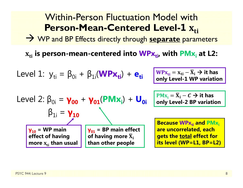#### Within-Person Fluctuation Model with**Person-Mean-Centered Level-1** $\Lambda_{ti}$

WP and BP Effects directly through **separate** parameters

 $\mathbf{x_{ti}}$  is person-mean-centered into  $\mathbf{W}\mathsf{P}\mathbf{x_{ti}}$ , with  $\mathsf{P}\mathsf{M}\mathbf{x_i}$  at L2:

Level 1: 
$$
y_{ti} = \beta_{0i} + \beta_{1i}(\mathbf{W} \mathbf{P} \mathbf{x}_{ti}) + \mathbf{e}_{ti}
$$

$$
\frac{\mathbf{W} \mathbf{P} \mathbf{x}_{ti}}{\mathbf{W} \mathbf{P} \mathbf{x}_{ti}} = \mathbf{x}_{ti} - \overline{\mathbf{X}}_i \rightarrow \text{it has}
$$
 only Level-1 WP variation

Level 2: 
$$
\beta_{0i} = \gamma_{00} + \gamma_{01} (PMx_i) + U_{0i}
$$

\n $\beta_{1i} = \gamma_{10}$ 

\n $\gamma_{10} = \text{WP main}$ 

\n $\gamma_{01} = \text{BP main effect}$ 

\neffect of having more  $\bar{x}_i$  then usual

\nthen other people

 $PMx_i = \overline{X}_i - C \rightarrow it$  has **only Level-2 BP variation**

**Because WPx<sub>ti</sub> and PMx**<sub>i</sub> **are uncorrelated, each gets the total effect for its level (WP=L1, BP=L2)**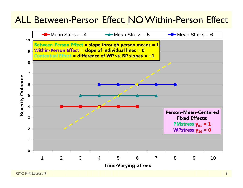## ALL Between-Person Effect, NO Within-Person Effect

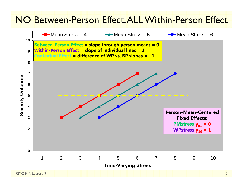## NO Between-Person Effect, ALL Within-Person Effect

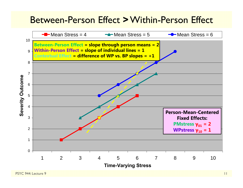### Between-Person Effect **>**Within-Person Effect

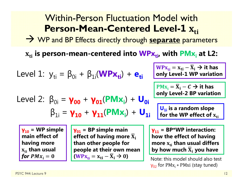#### Within-Person Fluctuation Model with**Person-Mean-Centered Level-1** $\Lambda_{ti}$

WP and BP Effects directly through **separate** parameters

 $\mathbf{x_{ti}}$  is person-mean-centered into  $\mathbf{W}\mathsf{P}\mathbf{x_{ti}}$ , with  $\mathsf{P}\mathsf{M}\mathbf{x_i}$  at L2:

Level 1: 
$$
y_{ti} = \beta_{0i} + \beta_{1i}(\text{WPx}_{ti}) + \mathbf{e}_{ti}
$$

\nLevel 2:  $\beta_{0i} = \gamma_{00} + \gamma_{01}(\text{PMX}_{i}) + \mathbf{U}_{0i}$ 

\nLevel 3:  $\beta_{1i} = \gamma_{10} + \gamma_{11}(\text{PMX}_{i}) + \mathbf{U}_{0i}$ 

\nRule 4:  $\beta_{1i} = \gamma_{10} + \gamma_{11}(\text{PMX}_{i}) + \mathbf{U}_{1i}$ 

\nOutput

\nExample 5:  $\beta_{1i} = \gamma_{10} + \gamma_{11}(\text{PMX}_{i}) + \mathbf{U}_{1i}$ 

\nOutput

\nExample 6:  $\beta_{1i} = \gamma_{10} + \gamma_{11}(\text{PMX}_{i}) + \mathbf{U}_{1i}$ 

\nExample 6:  $\beta_{1i} = \gamma_{10} + \gamma_{11}(\text{PMX}_{i}) + \mathbf{U}_{1i}$ 

\nExample 7:  $\beta_{1i} = \gamma_{10} + \gamma_{11}(\text{PMX}_{i}) + \mathbf{U}_{1i}$ 

\nExample 8:  $\beta_{1i} = \gamma_{10} + \gamma_{11}(\text{PMX}_{i}) + \mathbf{U}_{1i}$ 

\nExample 1:  $\beta_{1i} = \gamma_{10} + \gamma_{11}(\text{PMX}_{i}) + \mathbf{U}_{1i}$ 

\nExample 1:  $\beta_{1i} = \gamma_{10} + \gamma_{11}(\text{PMX}_{i}) + \mathbf{U}_{1i}$ 

\nExample 1:  $\beta_{1i} = \gamma_{10} + \gamma_{11}(\text{PMX}_{i}) + \mathbf{U}_{1i}$ 

\nExample 1:  $\beta_{1i} = \gamma_{10} + \gamma_{11}(\text{PMX}_{i}) + \mathbf{U}_{1i}$ 

\nExample 1:  $\beta_{1i} = \gamma_{10} + \gamma_{11}(\text{PMX}_{i}) + \mathbf{U}_{1i}$ 

**γ10 = WP simple main effect of having more**   $\mathbf{x}_{\text{ti}}$  than usual for  $PMx_{\widetilde{t}}=0$ 

**γ01 = BP simple main**  effect of having more  $\overline{\mathbf{X}}_\text{i}$ **than other people for people at their own mean**   $(WPx_{ti} = x_{ti} - \overline{X}_i \rightarrow 0)$ 

**γ11 = BP\*WP interaction: how the effect of having more**  ܜܠܑ **than usual differs by how much**  ܆ഥܑ **you have**

Note: this model should also test γ<sub>02</sub> for PMx<sub>i</sub> ∗ PMxi (stay tuned)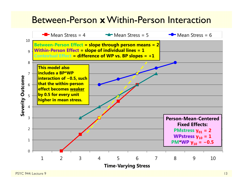### Between-Person **x**Within-Person Interaction

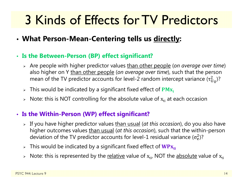# 3 Kinds of Effects for TV Predictors

- **What Person-Mean-Centering tells us directly:**
- **Is the Between-Person (BP) effect significant?**
	- Are people with higher predictor values than other people (*on average over time*) also higher on Y than other people (*on average over time*), such that the person mean of the TV predictor accounts for level-2 random intercept variance (τ $_{\rm U}^2$  $^2_{\rm U_0}$ )?
	- $\triangleright$  This would be indicated by a significant fixed effect of  $\mathbf{PMx_i}$
	- $\triangleright$   $\,$  Note: this is NOT controlling for the absolute value of  $\rm x_{ti}$  at each occasion

### • **Is the Within-Person (WP) effect significant?**

- If you have higher predictor values than usual (*at this occasion*), do you also have higher outcomes values than usual (*at this occasion*), such that the within-person deviation of the TV predictor accounts for level-1 residual variance ( $\sigma_{\rm e}^2$ )?
- $\triangleright$  This would be indicated by a significant fixed effect of  $\mathbf{W}\mathbf{P}\mathbf{x}_{\mathsf{ti}}$
- $\triangleright$  Note: this is represented by the <u>relative</u> value of  $\boldsymbol{\mathrm{x}}_{\text{ti'}}$  NOT the <u>absolute</u> value of  $\boldsymbol{\mathrm{x}}_{\text{ti}}$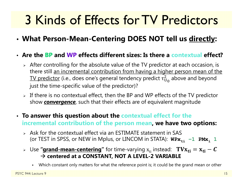# 3 Kinds of Effects for TV Predictors

• **What Person-Mean-Centering DOES NOT tell us directly:**

#### • **Are the BP and WP effects different sizes: Is there a contextual effect?**

- $\triangleright$  After controlling for the absolute value of the TV predictor at each occasion, is there still an incremental contribution from having a higher person mean of the TV predictor (i.e., does one's general tendency predict  $\tau^2_{\mathrm{U}}$  $_{\rm U_0}^2$  above and beyond just the time-specific value of the predictor)?
- $\triangleright$  If there is no contextual effect, then the BP and WP effects of the TV predictor show *convergence*, such that their effects are of equivalent magnitude
- **To answer this question about the contextual effect for the incremental contribution of the person mean, we have two options:**
	- $\triangleright$  Ask for the contextual effect via an ESTIMATE statement in SAS (or TEST in SPSS, or NEW in Mplus, or LINCOM in STATA):  $W\text{Px}_{\text{t}i}\text{ −}1\text{ PMX}_i$  1
	- ⊳ Use **"<u>grand-mean-centering</u>"** for time-varying  $\boldsymbol{\mathrm{x}}_{\text{ti}}$  instead:  $\textbf{ T}\textbf{V}\textbf{X}_{\textbf{ti}} = \textbf{x}_{\textbf{ti}} \textbf{\textit{C}}$  **centered at a CONSTANT, NOT A LEVEL-2 VARIABLE**
		- Г Which constant only matters for what the reference point is; it could be the grand mean or other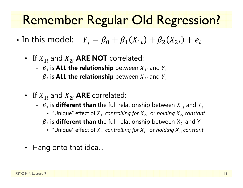## Remember Regular Old Regression?

- •• In this model:  $Y_i = \beta_0 + \beta_1(X_{1i}) + \beta_2(X_{2i}) + e_i$ 
	- If  $X_{1i}$  and  $X_{2i}$  **ARE NOT** correlated:
		- $\beta_1$  is **ALL the relationship** between  $X_{1i}$  and  $Y_i$
		- $\ { \beta}_2$  is <code>ALL</code> the relationship <code>between</code>  $X_{2i}$  and  $Y_i$
	- If  $X_{1i}$  and  $X_{2i}$  **ARE** correlated:
		- $\ \beta_{1}$  is **different than** the full relationship between  $X_{1i}$  and  $Y_{i}$ 
			- "Unique" effect of  $X_{1i}$  *controlling for*  $X_{2i}$  *or holding*  $X_{2i}$  *constant*
		- $\, \beta_{\,2} \,$  is  $\,$  different than the full relationship between  $\rm X_{2i}$  and  $\rm Y_{i}$ 
			- "Unique" effect of ܺ2݅ *controlling for X1*<sup>i</sup> or *holding X1*<sup>i</sup> *constant*
	- Hang onto that idea…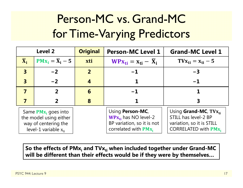## Person-MC vs. Grand-MC for Time-Varying Predictors

| <b>Level 2</b>                                                                                        |                              | <b>Original</b> | <b>Person-MC Level 1</b>                                                                               | <b>Grand-MC Level 1</b>                                                                                                  |
|-------------------------------------------------------------------------------------------------------|------------------------------|-----------------|--------------------------------------------------------------------------------------------------------|--------------------------------------------------------------------------------------------------------------------------|
| $\overline{\mathbf{X}}_i$                                                                             | $PMx_i = \overline{X}_i - 5$ | xti             | $WPX_{ti} = X_{ti} - X_i$                                                                              | $T V_{\rm X_{ti}} = X_{\rm ti} - 5$                                                                                      |
| $\overline{\mathbf{3}}$                                                                               | $-2$                         | 2 <sup>1</sup>  | $-1$                                                                                                   | $-3$                                                                                                                     |
| $\overline{\mathbf{3}}$                                                                               | $-2$                         | 4               |                                                                                                        | $-1$                                                                                                                     |
| $\overline{\mathbf{7}}$                                                                               | 2                            | 6               | $-1$                                                                                                   |                                                                                                                          |
|                                                                                                       |                              | 8               |                                                                                                        |                                                                                                                          |
| Same $PMx_i$ goes into<br>the model using either<br>way of centering the<br>level-1 variable $x_{ti}$ |                              |                 | Using Person-MC,<br>$WPx_{ti}$ has NO level-2<br>BP variation, so it is not<br>correlated with $PMx_i$ | Using <b>Grand-MC</b> , $T V x_{ti}$<br>STILL has level-2 BP<br>variation, so it is STILL<br><b>CORRELATED with PMx,</b> |

So the effects of PMx<sub>i</sub> and TVx<sub>ti</sub> when included together under Grand-MC **will be different than their effects would be if they were by themselves…**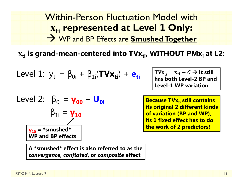## Within-Person Fluctuation Model withܜܑ **represented at Level 1 Only:** WP and BP Effects are **Smushed Together**

 $\mathbf{x_{ti}}$  is grand-mean-centered into  $\mathbf{T}\mathbf{V}\mathbf{x_{ti}}$ ,  $\mathbf{W}\mathbf{I}\mathbf{T}\mathbf{H}\mathbf{O}\mathbf{U}\mathbf{T}$   $\mathbf{P}\mathbf{M}\mathbf{x_i}$  at <code>L2:</code>

Level 1: 
$$
y_{ti} = \beta_{0i} + \beta_{1i}(\text{TVx}_{ti}) + e_{ti}
$$

Level 2: 
$$
\beta_{0i} = \gamma_{00} + U_{0i}
$$

\n $\beta_{1i} = \gamma_{10}$ 

\n $\gamma_{10} = \text{``smushed''}$ 

\nWP and BP effects

**A \*smushed\* effect is also referred to as the**  *convergence***,** *conflated***, or** *composite* **effect**

 $\text{TVx}_{\text{ti}} = \text{x}_{\text{ti}} - \textcal{C} \rightarrow \text{it still}$ **has both Level-2 BP and Level-1 WP variation** 

**Because TVx<sub>ti</sub> still contains**  $\blacksquare$ **its original 2 different kinds of variation (BP and WP), its 1 fixed effect has to do the work of 2 predictors!**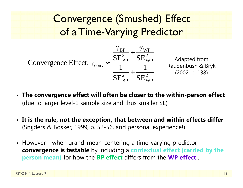Convergence (Smushed) Effect of a Time-Varying Predictor



- **The convergence effect will often be closer to the within-person effect** (due to larger level-1 sample size and thus smaller SE)
- **It is the rule, not the exception, that between and within effects differ** (Snijders & Bosker, 1999, p. 52-56, and personal experience!)
- However—when grand-mean-centering a time-varying predictor, **convergence is testable** by including a **contextual effect (carried by the person mean)** for how the **BP effect** differs from the **WP effect** …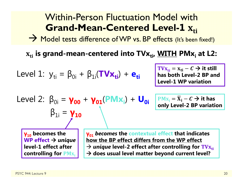#### Within-Person Fluctuation Model with**Grand-Mean-Centered Level-1≖ <u>Ati</u>**

 $\rightarrow$  Model tests difference of WP vs. BP effects (It's been fixed!)

 $\mathbf{x_{ti}}$  is grand-mean-centered into TV $\mathbf{x_{ti}}$ , <u>WITH</u> PM $\mathbf{x_i}$  at L2:

Level 1: 
$$
y_{ti} = \beta_{0i} + \beta_{1i}(\mathbf{TV} \mathbf{x}_{ti}) + \mathbf{e}_{ti}
$$

 $\text{TVx}_{\text{ti}} = \text{x}_{\text{ti}} - C \rightarrow \text{it still}$ **has both Level-2 BP and Level-1 WP variation** 

Level 2: 
$$
\beta_{0i} = \gamma_{00} + \gamma_{01}(PMx_i) + U_{0i}
$$

$$
\beta_{1i} = \gamma_{10}
$$

 $\overline{\text{PMx}}_i = \overline{\text{X}}_i - \textit{C} \rightarrow \text{it has}$ **only Level-2 BP variation**

**γ10 becomes the WP effect** *unique* **level-1 effect after controlling for PM**<sub>X<sub>i</sub></sub> **γ01** *becomes* **the contextual effect that indicates how the BP effect differs from the WP effect**  → *unique* level-2 effect after controlling for  $\text{TVx}_{\text{t}i}$ **does usual level matter beyond current level?**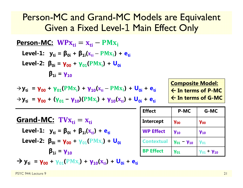## Person-MC and Grand-MC Models are Equivalent Given a Fixed Level-1 Main Effect Only

| <b>Person-MC:</b> $WPx_{ti} = x_{ti} - PMx_i$                                                                   |
|-----------------------------------------------------------------------------------------------------------------|
| Level-1: $y_{ti} = \beta_{0i} + \beta_{1i}(x_{ti} - PMx_i) + e_{ti}$                                            |
| Level-2: $\beta_{0i} = \gamma_{00} + \gamma_{01}(PMx_i) + \nu_{10}(x_{ti} - PMx_i) + U_{0i}$                    |
| $\rightarrow y_{ti} = \gamma_{00} + \gamma_{01}(PMx_i) + \gamma_{10}(x_{ti} - PMx_i) + U_{0i} + e_{ti}$         |
| $\rightarrow y_{ti} = \gamma_{00} + (\gamma_{01} - \gamma_{10})(PMx_i) + \gamma_{10}(x_{ti}) + U_{0i} + e_{ti}$ |
| <b>Grand-MC:</b> $TVx_{ti} = x_{ti}$                                                                            |
| <b>Grand-MC:</b> $TVx_{ti} = x_{ti}$                                                                            |
| Level-1: $y_{ti} = \beta_{0i} + \beta_{1i}(x_{ti}) + e_{ti}$                                                    |
| Level-2: $\beta_{0i} = \gamma_{00} + \gamma_{01}(PMx_i) + U_{0i}$                                               |
| $\beta_{1i} = \gamma_{10}$                                                                                      |

 $\rightarrow$  **y**<sub>ti</sub> =  $\gamma_{00}$  +  $\gamma_{01}$ (PM<sub>X<sub>i</sub>)</sub> +  $\gamma_{10}$ (<sub>X<sub>ti</sub>) + U<sub>0i</sub> + e<sub>ti</sub></sub>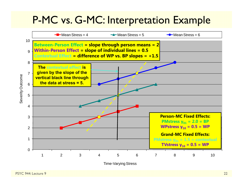## P-MC vs. G-MC: Interpretation Example

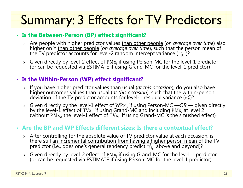# Summary: 3 Effects for TV Predictors

#### • **Is the Between-Person (BP) effect significant?**

- > Are people with higher predictor values than other people (on average over time) also higher on Y than other people (*on average over time*), such that the person mean of the TV predictor accounts for level-2 random intercept variance ( $\tau_{\mathrm{U}}^2$  $\binom{2}{10}$ ?
- $\triangleright$  Given directly by level-2 effect of PM $\rm{x_i}$ (or can be requested via ESTIMATE if using Grand-MC for the level-1 predictor)

#### • **Is the Within-Person (WP) effect significant?**

- > If you have higher predictor values than usual (at this occasion), do you also have higher outcomes values than usual *(at this occasion)*, such that the within-person  $\sigma_{\rm e}^2$ )?
- Given directly by the level-1 effect of WPx<sub>ti</sub> if using Person-MC —*OR* given directly by the level-1 effect of TVx<sub>ti</sub> if using Grand-MC and including PMx<sub>i</sub> at level 2 by the level-1 effect of TVx<sub>ti</sub> if using Grand-MC and including PMx<sub>i</sub> at level 2<br>(without PMx<sub>i</sub>, the level-1 effect of TVx<sub>ti</sub> if using Grand-MC is the smushed effect)

#### • **Are the BP and WP Effects different sizes: Is there a contextual effect?**

- $\triangleright$  After controlling for the absolute value of TV predictor value at each occasion, is there still an incremental contribution from having a higher person mean of the TV predictor (i.e., does one's general tendency predict  $\tau^2_{\mathrm{U}}$  $_{\rm U_0}^2$  above and beyond)?
- $\triangleright$  Given directly by level-2 effect of PM $\rm{x_i}$ (or can be requested via ESTIMATE if using Person-MC for the level-1 predictor)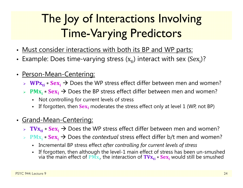## The Joy of Interactions Involving Time-Varying Predictors

- Must consider interactions with both its BP and WP parts:
- Example: Does time-varying stress  $(x_{ti})$  interact with sex  $(Sex_{i})$ ?
- • Person-Mean-Centering:
	- $\triangleright$  WPx<sub>ti</sub>  $*$  Sex<sub>i</sub>  $\rightarrow$  Does the WP stress effect differ between men and women?
	- $\triangleright$  PM<sub>X<sub>i</sub>  $\ast$  Sex<sub>i</sub> → Does the BP stress effect differ between men and women?</sub>
		- $\mathbf{r}$ Not controlling for current levels of stress
		- n If forgotten, then  $Sex_i$  moderates the stress effect only at level 1 (WP, not BP)
- Grand-Mean-Centering:
	- $\triangleright$   $\mathbf{TVx_{ti}} * \mathbf{Sex_i} \rightarrow$  Does the WP stress effect differ between men and women?
	- $\Diamond$  PM<sub>X<sub>i</sub> \* Sex<sub>i</sub> → Does the *contextual* stress effect differ b/t men and women?</sub>
		- Incremental BP stress effect *after controlling for current levels of stress*
		- n If forgotten, then although the level-1 main effect of stress has been un-smushed<br>via the main effect of PM<sub>X<sub>i</sub>, the interaction of TV<sub>X<sub>ti</sub> ∗ Sex<sub>i</sub> would still be smushed</sub></sub>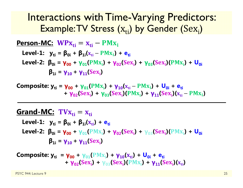## Interactions with Time-Varying Predictors: Example: $\mathsf{TV}$  Stress  $(\mathrm{x}_{\mathrm{ti}})$  by Gender  $(\mathrm{Sex}_\mathrm{i})$

| Person-MC: $WPx_{ti} = x_{ti} - PMx_i$                                                                             |
|--------------------------------------------------------------------------------------------------------------------|
| Level-1: $y_{ti} = \beta_{0i} + \beta_{1i}(x_{ti} - PMx_i) + e_{ti}$                                               |
| Level-2: $\beta_{0i} = \gamma_{00} + \gamma_{01}(PMx_i) + \gamma_{02}(Sex_i) + \gamma_{03}(Sex_i)(PMx_i) + U_{0i}$ |
| $\beta_{1i} = \gamma_{10} + \gamma_{11}(Sex_i)$                                                                    |

**Composite: y<sub>ti</sub> = γ<sub>00</sub> + γ<sub>01</sub>(PMx<sub>i</sub>) + γ<sub>10</sub>(x<sub>ti</sub> – PMx<sub>i</sub>) + U<sub>0i</sub> + e<sub>ti</sub> + γ**<sub>02</sub>(Sex<sub>i</sub>) + **γ**<sub>03</sub>(Sex<sub>i</sub>)(PMx<sub>i</sub>) + **γ**<sub>11</sub>(Sex<sub>i</sub>)(x<sub>ti</sub> – PMx<sub>i</sub>)

### **Grand-MC:** ܜܠ܄܂ܑൌ ܑܜܠ

Level-1: 
$$
y_{ti} = \beta_{0i} + \beta_{1i}(x_{ti}) + e_{ti}
$$

\nLevel-2: 
$$
\beta_{0i} = \gamma_{00} + \gamma_{01}(PMx_i) + \gamma_{02}(Sex_i) + \gamma_{03}(Sex_i)(PMx_i) + U_{0i}
$$

\n
$$
\beta_{1i} = \gamma_{10} + \gamma_{11}( Sex_i)
$$

 ${\bf Composite:}$   ${\bf y_{ti}}$  =  ${\bf \gamma_{00}}$  +  ${\bf \gamma_{01}}({\rm PMx_{i}})$  +  ${\bf \gamma_{10}}({\rm x_{ti}})$  +  ${\bf \sf U_{0i}}$  +  ${\bf e_{ti}}$ **+ γ**<sub>02</sub>(Sex<sub>i</sub>) + γ<sub>03</sub>(Sex<sub>i</sub>)(PMx<sub>i</sub>) + γ<sub>11</sub>(Sex<sub>i</sub>)(x<sub>ti</sub>)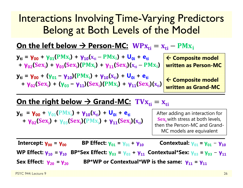## Interactions Involving Time-Varying Predictors Belong at Both Levels of the Model

### <u> On the left below → Person-MC: WPx<sub>ti</sub> = x<sub>ti</sub> – PMx<sub>i</sub></u>

| $y_{ti} = \gamma_{00} + \gamma_{01}(PMx_i) + \gamma_{10}(x_{ti} - PMx_i) + U_{0i} + e_{ti}$    | $\leftarrow$ |
|------------------------------------------------------------------------------------------------|--------------|
| + $\gamma_{02}(Sex_i)$ + $\gamma_{03}(Sex_i)(PMx_i)$ + $\gamma_{11}(Sex_i)(x_{ti} - PMx_i)$ wr |              |

**y**<sub>ti</sub> = **γ**<sub>00</sub> + (**γ**<sub>01</sub> − **γ**<sub>10</sub>)(PMx<sub>i</sub>) + **γ**<sub>10</sub>(x<sub>ti</sub>) + U<sub>0i</sub> + e<sub>ti</sub>  $+ \gamma_{02}(Sex_i) + (\gamma_{03} - \gamma_{11})(Sex_i)(PMx_i) + \gamma_{11}(Sex_i)(x_{ti})$   **Composite model written as Person-MC** 

 **Composite model written as Grand-MC**

### <u> On the right below → Grand-MC: TV $\boldsymbol{\mathrm{x}}_{\text{ti}} = \boldsymbol{\mathrm{x}}_{\text{ti}}$ </u>

 ${\bf y_{ti}}$  =  ${\bf y_{00}}$  +  ${\bf y_{01}}$ ( ${\bf PMx_i}$ ) +  ${\bf y_{10}}$ ( ${\bf x_{ti}}$ ) +  ${\bf U_{0i}}$  +  ${\bf e_{ti}}$ **+ γ**<sub>02</sub>(Sex<sub>i</sub>) + γ<sub>03</sub>(Sex<sub>i</sub>)(PMx<sub>i</sub>) + γ<sub>11</sub>(Sex<sub>i</sub>)(x<sub>ti</sub>)

After adding an interaction for  ${\bf Sex}_{\bf i}$  with stress at both levels, then the Person-MC and Grand-MC models are equivalent

**Intercept: γ00 <sup>=</sup> γ00 BP Effect: γ01= γ01+ γ10Contextual: γ**<sub>01</sub> = **γ**<sub>01</sub> − **γ**<sub>10</sub> **WP Effect: γ10 = γ10 BP\*Sex Effect: γ03 <sup>=</sup> γ03 + γ11 Contextual\*Sex: γ03 = γ03** − **γ11 Sex Effect: γ20 = γ20BP\*WP or Contextual\*WP is the same: γ11 <sup>=</sup> γ11**

PSYC 944: Lecture 9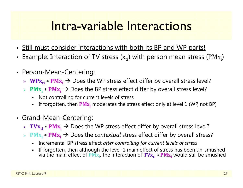## Intra-variable Interactions

- Still must consider interactions with both its BP and WP parts!
- Example: Interaction of TV stress ( $\mathbf{x_{ti}}$ ) with person mean stress (PM $\mathbf{x_i}$ )
- $\bullet$  Person-Mean-Centering:
	- $\triangleright$  WPx<sub>ti</sub>  $\ast$  PMx<sub>i</sub> → Does the WP stress effect differ by overall stress level?
	- $\triangleright$  PM<sub>X<sub>i</sub>  $\ast$  PM<sub>X<sub>i</sub></sub> → Does the BP stress effect differ by overall stress level?</sub>
		- Not controlling for current levels of stress
		- n **-** If forgotten, then  $\overline{PMx_i}$  moderates the stress effect only at level 1 (WP, not BP)
- Grand-Mean-Centering:
	- $▶$  TV $\mathbf{x_{ti}} * \mathbf{P} \mathbf{M} \mathbf{x_i} \rightarrow \mathbf{D}$ oes the WP stress effect differ by overall stress level?
	- **► PM<sub>X<sub>i</sub> \* PM<sub>X<sub>i</sub> → Does the** *contextual* **stress effect differ by overall stress?**</sub></sub>
		- Incremental BP stress effect *after controlling for current levels of stress*
		- n If forgotten, then although the level-1 main effect of stress has been un-smushed<br>via the main effect of PM<sub>X<sub>i</sub>, the interaction of TV<sub>X<sub>ti</sub> ∗ PM<sub>X<sub>i</sub></sub> would still be smushed</sub></sub>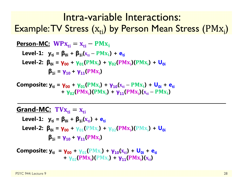## Intra-variable Interactions: Example:TV Stress  $\rm\left(x_{ti}\right)$  by Person Mean Stress  $\rm\left(PMx_{i}\right)$

| Person-MC: $WPx_{ti} = x_{ti} - PMx_i$                                                        |
|-----------------------------------------------------------------------------------------------|
| Level-1: $y_{ti} = \beta_{0i} + \beta_{1i}(x_{ti} - PMx_i) + e_{ti}$                          |
| Level-2: $\beta_{0i} = \gamma_{00} + \gamma_{01}(PMx_i) + \gamma_{02}(PMx_i)(PMx_i) + U_{0i}$ |
| $\beta_{1i} = \gamma_{10} + \gamma_{11}(PMx_i)$                                               |

 ${\bf Composite:}$   ${\bf y_{ti}} = {\bf \gamma_{00}} + {\bf \gamma_{01}} ({\bf PMx_i}) + {\bf \gamma_{10}} ({\bf x_{ti}} - {\bf PMx_i}) + {\bf U_{0i}} + {\bf e_{ti}}$ **+ γ**<sub>02</sub>(PMx<sub>i</sub>)(PMx<sub>i</sub>) + **γ**<sub>11</sub>(PMx<sub>i</sub>)(x<sub>ti</sub> – PMx<sub>i</sub>)

#### **Grand-MC:** ܜܠ܄܂ܑൌ ܑܜܠ

Level-1: 
$$
y_{ti} = \beta_{0i} + \beta_{1i}(x_{ti}) + e_{ti}
$$

\nLevel-2: 
$$
\beta_{0i} = \gamma_{00} + \gamma_{01}(PMx_i) + \gamma_{02}(PMx_i)(PMx_i) + U_{0i}
$$

\n
$$
\beta_{1i} = \gamma_{10} + \gamma_{11}(PMx_i)
$$

**Composite:** 
$$
y_{ti} = \gamma_{00} + \gamma_{01}(PMx_i) + \gamma_{10}(x_{ti}) + U_{0i} + e_{ti}
$$
  
+  $\gamma_{02}(PMx_i)(PMx_i) + \gamma_{11}(PMx_i)(x_{ti})$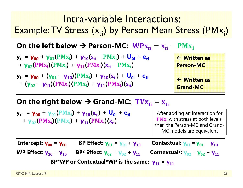## Intra-variable Interactions: Example: $\mathsf{TV}$  Stress  $\mathsf{(x_{ti})}$  by Person Mean Stress  $(\mathrm{PMx_{i}})$

### <u> On the left below → Person-MC: WPx<sub>ti</sub> = x<sub>ti</sub> – PMx<sub>i</sub></u>

$$
y_{ti} = \gamma_{00} + \gamma_{01}(PMx_i) + \gamma_{10}(x_{ti} - PMx_i) + U_{0i} + e_{ti} + \gamma_{02}(PMx_i)(PMx_i) + \gamma_{11}(PMx_i)(x_{ti} - PMx_i)
$$

**y**<sub>ti</sub> = **γ**<sub>00</sub> + (**γ**<sub>01</sub> − **γ**<sub>10</sub>)(PMx<sub>i</sub>) + **γ**<sub>10</sub>(x<sub>ti</sub>) + U<sub>0i</sub> + e<sub>ti</sub> **+** (**γ**<sub>02</sub> – **γ**<sub>11</sub>)(PMx<sub>i</sub>)(PMx<sub>i</sub>) + **γ**<sub>11</sub>(PMx<sub>i</sub>)(x<sub>ti</sub>)



### <u> On the right below → Grand-MC: TV $\boldsymbol{\mathrm{x}}_{\text{ti}} = \boldsymbol{\mathrm{x}}_{\text{ti}}$ </u>

 ${\bf y_{ti}}$  =  ${\bf y_{00}}$  +  ${\bf y_{01}}$ ( ${\bf PMx_i}$ ) +  ${\bf y_{10}}$ ( ${\bf x_{ti}}$ ) +  ${\bf U_{0i}}$  +  ${\bf e_{ti}}$ **+ γ**<sub>02</sub>(PMx<sub>i</sub>)(PMx<sub>i</sub>) + **γ**<sub>11</sub>(PMx<sub>i</sub>)(x<sub>ti</sub>)

After adding an interaction for  $\textbf{PMx}_{i}$  with stress at both levels, then the Person-MC and Grand-MC models are equivalent

**Intercept: γ00 <sup>=</sup> γ BP Effect: γ01= γ01+ γ Contextual: γ01= γ01**− **γWP Effect: γ10 = γ BP 2 Effect: γ02 <sup>=</sup> γ02 + γ**<sub>11</sub> **Contextual<sup>2</sup>:**  $\gamma_{02} = \gamma_{02} - \gamma_{11}$ **BP\*WP or Contextual\*WP is the same: γ11 <sup>=</sup> γ**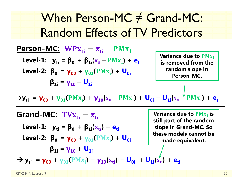When Person-MC ≠ Grand-MC: Random Effects of TV Predictors

ܑܜ ܑܜ **:MC-Person** ܑ ${\bf L}$ evel-1:  ${\bf y}_{{\bf ti}} = {\bf \beta}_{{\bf 0}{\bf i}} + {\bf \beta}_{{\bf 1}{\bf i}}({\bf x}_{{\bf ti}} - {\bf PMx}_{\bf i}) + {\bf e}_{{\bf ti}}$ **Level-2:**  $\beta_{0i} = \gamma_{00} + \gamma_{01} (PMx_{i}) + U_{0i}$ **β1i <sup>=</sup> γ10 <sup>+</sup> U1i**

**Variance due to PM<sub>X<sub>i</sub></sub> is removed from the random slope in Person-MC.** 

 $\rightarrow$ **y**<sub>ti</sub> = **γ**<sub>00</sub> + **γ**<sub>01</sub>(PMx<sub>i</sub>) + **γ**<sub>10</sub>(x<sub>ti</sub> – PMx<sub>i</sub>) + **U<sub>0i</sub>** + **U<sub>1i</sub>(x<sub>ti</sub> – PMx<sub>i</sub>) + e<sub>ti</sub>** 

<u>Grand-MC:</u> TV $\mathbf{x_{ti}} = \mathbf{x_{ti}}$  ${\sf Level\text{-}1:} \quad {\sf y}_{\sf ti} = {\sf \beta}_{0i} + {\sf \beta}_{1i}({\sf x}_{\sf ti}) + {\sf e}_{\sf ti}$ **Level-2: β0i <sup>=</sup> γ00 <sup>+</sup> γ01 + (**ܑܠۻ۾**) U0iβ1i <sup>=</sup> γ10 <sup>+</sup> U1i** $\rightarrow$  **y**<sub>ti</sub> =  $\gamma_{00}$  +  $\gamma_{01}$ (PMx<sub>i</sub>) +  $\gamma_{10}(x_{ti})$  +  $\mathbf{U}_{0i}$  +  $\mathbf{U}_{1i}(x_{ti})$  +  $\mathbf{e}_{ti}$ **Variance due to**  $\mathbf{PMx_i}$  **is still part of the random slope in Grand-MC. So these models cannot be made equivalent.**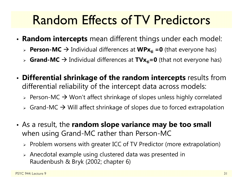## Random Effects of TV Predictors

- • **Random intercepts** mean different things under each model:
	- **► Person-MC →** Individual differences at WPx<sub>ti</sub> =0 (that everyone has)
	- > Grand-MC → Individual differences at TVx<sub>ti</sub>=0 (that not everyone has)
- • **Differential shrinkage of the random intercepts** results from differential reliability of the intercept data across models:
	- $\triangleright$  Person-MC  $\rightarrow$  Won't affect shrinkage of slopes unless highly correlated
	- $\triangleright$  Grand-MC  $\rightarrow$  Will affect shrinkage of slopes due to forced extrapolation
- As a result, the **random slope variance may be too small** when using Grand-MC rather than Person-MC
	- $\triangleright$  Problem worsens with greater ICC of TV Predictor (more extrapolation)
	- $\triangleright$  Anecdotal example using clustered data was presented in Raudenbush & Bryk (2002; chapter 6)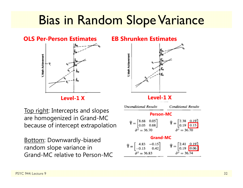## Bias in Random Slope Variance

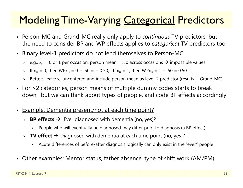## Modeling Time-Varying Categorical Predictors

- $\bullet$  Person-MC and Grand-MC really only apply to *continuous* TV predictors, but the need to consider BP and WP effects applies to *categorical* TV predictors too
- • Binary level-1 predictors do not lend themselves to Person-MC
	- $\triangleright$   $\,$  e.g.,  $\rm x_{ti}$  = 0 or 1 per occasion, person mean = .50 across occasions  $\boldsymbol{\rightarrow}$  impossible values
	- > If  $x_{ti}$  = 0, then WP $x_{ti}$  = 0 − .50 = − 0.50; If  $x_{ti}$  = 1, then WP $x_{ti}$  = 1 − .50 = 0.50
	- $\triangleright$  Better: Leave  $\rm x_{ti}$  uncentered and include person mean as level-2 predictor (results ~ Grand-MC)
- • For >2 categories, person means of multiple dummy codes starts to break down, but we can think about types of people, and code BP effects accordingly
- •Example: Dementia present/not at each time point?
	- **► BP effects →** Ever diagnosed with dementia (no, yes)?
		- Г People who will eventually be diagnosed may differ prior to diagnosis (a BP effect)
	- **► TV effect →** Diagnosed with dementia at each time point (no, yes)?
		- Г Acute differences of before/after diagnosis logically can only exist in the "ever" people
- Other examples: Mentor status, father absence, type of shift work (AM/PM)